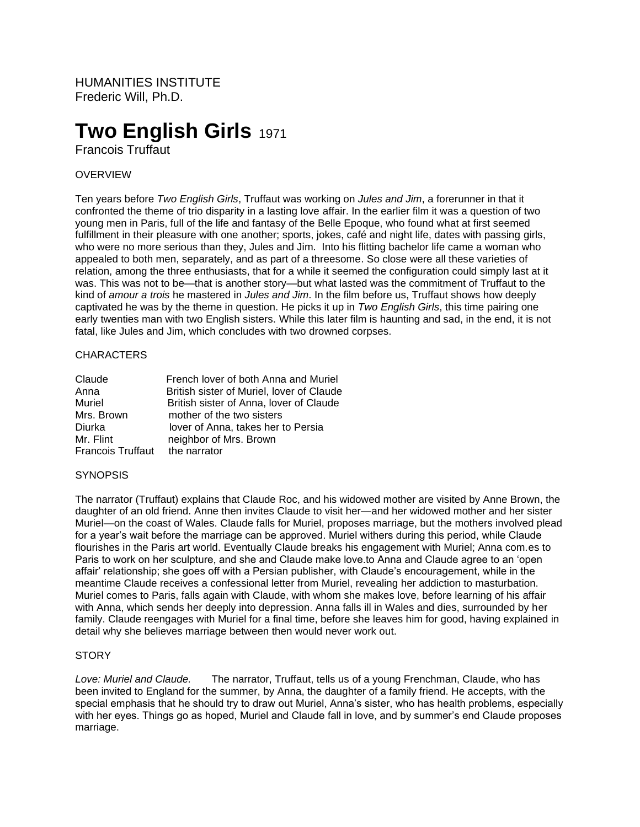HUMANITIES INSTITUTE Frederic Will, Ph.D.

# **Two English Girls 1971**

Francois Truffaut

## OVERVIEW

Ten years before *Two English Girls*, Truffaut was working on *Jules and Jim*, a forerunner in that it confronted the theme of trio disparity in a lasting love affair. In the earlier film it was a question of two young men in Paris, full of the life and fantasy of the Belle Epoque, who found what at first seemed fulfillment in their pleasure with one another; sports, jokes, café and night life, dates with passing girls, who were no more serious than they, Jules and Jim. Into his flitting bachelor life came a woman who appealed to both men, separately, and as part of a threesome. So close were all these varieties of relation, among the three enthusiasts, that for a while it seemed the configuration could simply last at it was. This was not to be—that is another story—but what lasted was the commitment of Truffaut to the kind of *amour a trois* he mastered in *Jules and Jim*. In the film before us, Truffaut shows how deeply captivated he was by the theme in question. He picks it up in *Two English Girls*, this time pairing one early twenties man with two English sisters. While this later film is haunting and sad, in the end, it is not fatal, like Jules and Jim, which concludes with two drowned corpses.

### **CHARACTERS**

| Claude                         | French lover of both Anna and Muriel      |
|--------------------------------|-------------------------------------------|
| Anna                           | British sister of Muriel, lover of Claude |
| Muriel                         | British sister of Anna, lover of Claude   |
| Mrs. Brown                     | mother of the two sisters                 |
| Diurka                         | lover of Anna, takes her to Persia        |
| Mr. Flint                      | neighbor of Mrs. Brown                    |
| Francois Truffaut the narrator |                                           |

#### **SYNOPSIS**

The narrator (Truffaut) explains that Claude Roc, and his widowed mother are visited by Anne Brown, the daughter of an old friend. Anne then invites Claude to visit her—and her widowed mother and her sister Muriel—on the coast of Wales. Claude falls for Muriel, proposes marriage, but the mothers involved plead for a year's wait before the marriage can be approved. Muriel withers during this period, while Claude flourishes in the Paris art world. Eventually Claude breaks his engagement with Muriel; Anna com.es to Paris to work on her sculpture, and she and Claude make love.to Anna and Claude agree to an 'open affair' relationship; she goes off with a Persian publisher, with Claude's encouragement, while in the meantime Claude receives a confessional letter from Muriel, revealing her addiction to masturbation. Muriel comes to Paris, falls again with Claude, with whom she makes love, before learning of his affair with Anna, which sends her deeply into depression. Anna falls ill in Wales and dies, surrounded by her family. Claude reengages with Muriel for a final time, before she leaves him for good, having explained in detail why she believes marriage between then would never work out.

#### **STORY**

*Love: Muriel and Claude.* The narrator, Truffaut, tells us of a young Frenchman, Claude, who has been invited to England for the summer, by Anna, the daughter of a family friend. He accepts, with the special emphasis that he should try to draw out Muriel, Anna's sister, who has health problems, especially with her eyes. Things go as hoped, Muriel and Claude fall in love, and by summer's end Claude proposes marriage.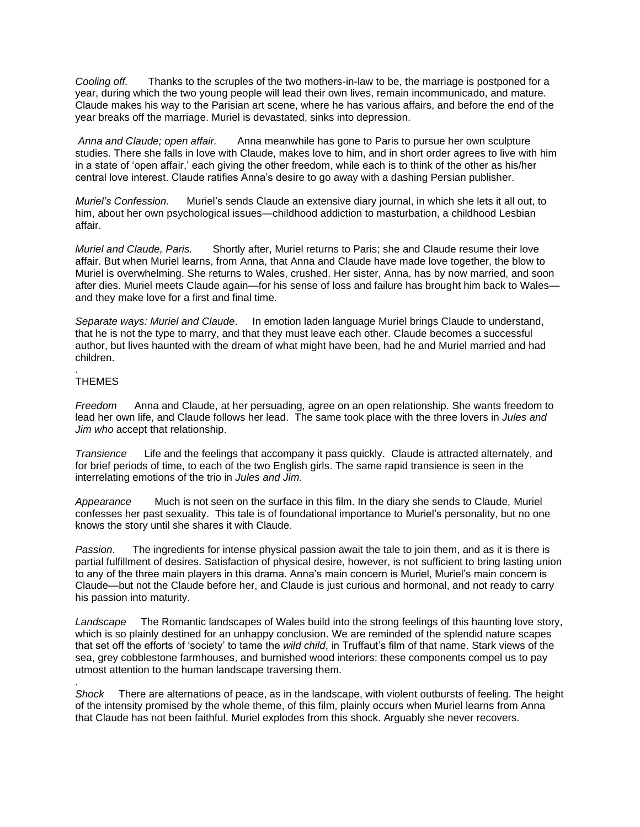*Cooling off.* Thanks to the scruples of the two mothers-in-law to be, the marriage is postponed for a year, during which the two young people will lead their own lives, remain incommunicado, and mature. Claude makes his way to the Parisian art scene, where he has various affairs, and before the end of the year breaks off the marriage. Muriel is devastated, sinks into depression.

*Anna and Claude; open affair.* Anna meanwhile has gone to Paris to pursue her own sculpture studies. There she falls in love with Claude, makes love to him, and in short order agrees to live with him in a state of 'open affair,' each giving the other freedom, while each is to think of the other as his/her central love interest. Claude ratifies Anna's desire to go away with a dashing Persian publisher.

*Muriel's Confession.* Muriel's sends Claude an extensive diary journal, in which she lets it all out, to him, about her own psychological issues—childhood addiction to masturbation, a childhood Lesbian affair.

*Muriel and Claude, Paris.* Shortly after, Muriel returns to Paris; she and Claude resume their love affair. But when Muriel learns, from Anna, that Anna and Claude have made love together, the blow to Muriel is overwhelming. She returns to Wales, crushed. Her sister, Anna, has by now married, and soon after dies. Muriel meets Claude again—for his sense of loss and failure has brought him back to Wales and they make love for a first and final time.

*Separate ways: Muriel and Claude*. In emotion laden language Muriel brings Claude to understand, that he is not the type to marry, and that they must leave each other. Claude becomes a successful author, but lives haunted with the dream of what might have been, had he and Muriel married and had children.

#### . **THEMES**

.

*Freedom* Anna and Claude, at her persuading, agree on an open relationship. She wants freedom to lead her own life, and Claude follows her lead. The same took place with the three lovers in *Jules and Jim who* accept that relationship.

*Transience* Life and the feelings that accompany it pass quickly. Claude is attracted alternately, and for brief periods of time, to each of the two English girls. The same rapid transience is seen in the interrelating emotions of the trio in *Jules and Jim*.

*Appearance* Much is not seen on the surface in this film. In the diary she sends to Claude, Muriel confesses her past sexuality. This tale is of foundational importance to Muriel's personality, but no one knows the story until she shares it with Claude.

*Passion*. The ingredients for intense physical passion await the tale to join them, and as it is there is partial fulfillment of desires. Satisfaction of physical desire, however, is not sufficient to bring lasting union to any of the three main players in this drama. Anna's main concern is Muriel, Muriel's main concern is Claude—but not the Claude before her, and Claude is just curious and hormonal, and not ready to carry his passion into maturity.

*Landscape* The Romantic landscapes of Wales build into the strong feelings of this haunting love story, which is so plainly destined for an unhappy conclusion. We are reminded of the splendid nature scapes that set off the efforts of 'society' to tame the *wild child*, in Truffaut's film of that name. Stark views of the sea, grey cobblestone farmhouses, and burnished wood interiors: these components compel us to pay utmost attention to the human landscape traversing them.

*Shock* There are alternations of peace, as in the landscape, with violent outbursts of feeling. The height of the intensity promised by the whole theme, of this film, plainly occurs when Muriel learns from Anna that Claude has not been faithful. Muriel explodes from this shock. Arguably she never recovers.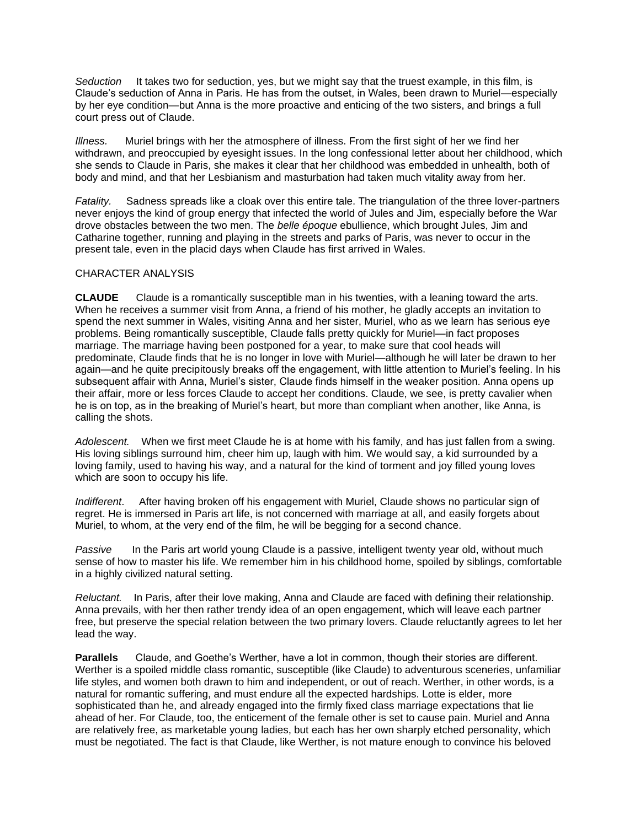*Seduction* It takes two for seduction, yes, but we might say that the truest example, in this film, is Claude's seduction of Anna in Paris. He has from the outset, in Wales, been drawn to Muriel—especially by her eye condition—but Anna is the more proactive and enticing of the two sisters, and brings a full court press out of Claude.

*Illness.* Muriel brings with her the atmosphere of illness. From the first sight of her we find her withdrawn, and preoccupied by eyesight issues. In the long confessional letter about her childhood, which she sends to Claude in Paris, she makes it clear that her childhood was embedded in unhealth, both of body and mind, and that her Lesbianism and masturbation had taken much vitality away from her.

*Fatality.* Sadness spreads like a cloak over this entire tale. The triangulation of the three lover-partners never enjoys the kind of group energy that infected the world of Jules and Jim, especially before the War drove obstacles between the two men. The *belle époque* ebullience, which brought Jules, Jim and Catharine together, running and playing in the streets and parks of Paris, was never to occur in the present tale, even in the placid days when Claude has first arrived in Wales.

#### CHARACTER ANALYSIS

**CLAUDE**Claude is a romantically susceptible man in his twenties, with a leaning toward the arts. When he receives a summer visit from Anna, a friend of his mother, he gladly accepts an invitation to spend the next summer in Wales, visiting Anna and her sister, Muriel, who as we learn has serious eye problems. Being romantically susceptible, Claude falls pretty quickly for Muriel—in fact proposes marriage. The marriage having been postponed for a year, to make sure that cool heads will predominate, Claude finds that he is no longer in love with Muriel—although he will later be drawn to her again—and he quite precipitously breaks off the engagement, with little attention to Muriel's feeling. In his subsequent affair with Anna, Muriel's sister, Claude finds himself in the weaker position. Anna opens up their affair, more or less forces Claude to accept her conditions. Claude, we see, is pretty cavalier when he is on top, as in the breaking of Muriel's heart, but more than compliant when another, like Anna, is calling the shots.

*Adolescent.* When we first meet Claude he is at home with his family, and has just fallen from a swing. His loving siblings surround him, cheer him up, laugh with him. We would say, a kid surrounded by a loving family, used to having his way, and a natural for the kind of torment and joy filled young loves which are soon to occupy his life.

*Indifferent*. After having broken off his engagement with Muriel, Claude shows no particular sign of regret. He is immersed in Paris art life, is not concerned with marriage at all, and easily forgets about Muriel, to whom, at the very end of the film, he will be begging for a second chance.

*Passive* In the Paris art world young Claude is a passive, intelligent twenty year old, without much sense of how to master his life. We remember him in his childhood home, spoiled by siblings, comfortable in a highly civilized natural setting.

*Reluctant.* In Paris, after their love making, Anna and Claude are faced with defining their relationship. Anna prevails, with her then rather trendy idea of an open engagement, which will leave each partner free, but preserve the special relation between the two primary lovers. Claude reluctantly agrees to let her lead the way.

**Parallels** Claude, and Goethe's Werther, have a lot in common, though their stories are different. Werther is a spoiled middle class romantic, susceptible (like Claude) to adventurous sceneries, unfamiliar life styles, and women both drawn to him and independent, or out of reach. Werther, in other words, is a natural for romantic suffering, and must endure all the expected hardships. Lotte is elder, more sophisticated than he, and already engaged into the firmly fixed class marriage expectations that lie ahead of her. For Claude, too, the enticement of the female other is set to cause pain. Muriel and Anna are relatively free, as marketable young ladies, but each has her own sharply etched personality, which must be negotiated. The fact is that Claude, like Werther, is not mature enough to convince his beloved